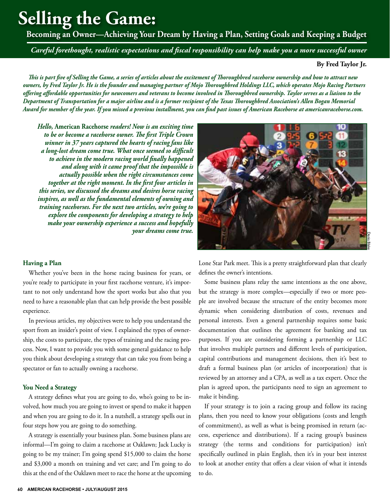# **Selling the Game:**

**Becoming an Owner—Achieving Your Dream by Having a Plan, Setting Goals and Keeping a Budget**

*Careful forethought, realistic expectations and fiscal responsibility can help make you a more successful owner*

# **By Fred Taylor Jr.**

*This is part five of Selling the Game, a series of articles about the excitement of Thoroughbred racehorse ownership and how to attract new owners, by Fred Taylor Jr. He is the founder and managing partner of Mojo Thoroughbred Holdings LLC, which operates Mojo Racing Partners offering affordable opportunities for newcomers and veterans to become involved in Thoroughbred ownership. Taylor serves as a liaison to the Department of Transportation for a major airline and is a former recipient of the Texas Thoroughbred Association's Allen Bogan Memorial Award for member of the year. If you missed a previous installment, you can find past issues of American Racehorse at americanracehorse.com.*

*Hello,* **American Racehorse** *readers! Now is an exciting time to be or become a racehorse owner. The first Triple Crown winner in 37 years captured the hearts of racing fans like a long-lost dream come true. What once seemed so difficult to achieve in the modern racing world finally happened and along with it came proof that the impossible is actually possible when the right circumstances come together at the right moment. In the first four articles in this series, we discussed the dreams and desires horse racing inspires, as well as the fundamental elements of owning and training racehorses. For the next two articles, we're going to explore the components for developing a strategy to help make your ownership experience a success and hopefully your dreams come true.*

## **Having a Plan**

Whether you've been in the horse racing business for years, or you're ready to participate in your first racehorse venture, it's important to not only understand how the sport works but also that you need to have a reasonable plan that can help provide the best possible experience.

In previous articles, my objectives were to help you understand the sport from an insider's point of view. I explained the types of ownership, the costs to participate, the types of training and the racing process. Now, I want to provide you with some general guidance to help you think about developing a strategy that can take you from being a spectator or fan to actually owning a racehorse.

#### **You Need a Strategy**

A strategy defines what you are going to do, who's going to be involved, how much you are going to invest or spend to make it happen and when you are going to do it. In a nutshell, a strategy spells out in four steps how you are going to do something.

A strategy is essentially your business plan. Some business plans are informal—I'm going to claim a racehorse at Oaklawn; Jack Lucky is going to be my trainer; I'm going spend \$15,000 to claim the horse and \$3,000 a month on training and vet care; and I'm going to do this at the end of the Oaklawn meet to race the horse at the upcoming



Lone Star Park meet. This is a pretty straightforward plan that clearly defines the owner's intentions.

Some business plans relay the same intentions as the one above, but the strategy is more complex—especially if two or more people are involved because the structure of the entity becomes more dynamic when considering distribution of costs, revenues and personal interests. Even a general partnership requires some basic documentation that outlines the agreement for banking and tax purposes. If you are considering forming a partnership or LLC that involves multiple partners and different levels of participation, capital contributions and management decisions, then it's best to draft a formal business plan (or articles of incorporation) that is reviewed by an attorney and a CPA, as well as a tax expert. Once the plan is agreed upon, the participants need to sign an agreement to make it binding.

If your strategy is to join a racing group and follow its racing plans, then you need to know your obligations (costs and length of commitment), as well as what is being promised in return (access, experience and distributions). If a racing group's business strategy (the terms and conditions for participation) isn't specifically outlined in plain English, then it's in your best interest to look at another entity that offers a clear vision of what it intends to do.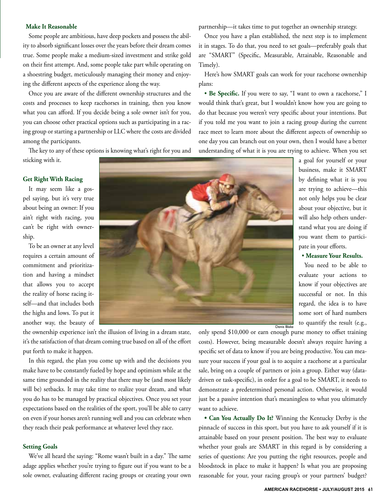#### **Make It Reasonable**

Some people are ambitious, have deep pockets and possess the ability to absorb significant losses over the years before their dream comes true. Some people make a medium-sized investment and strike gold on their first attempt. And, some people take part while operating on a shoestring budget, meticulously managing their money and enjoying the different aspects of the experience along the way.

Once you are aware of the different ownership structures and the costs and processes to keep racehorses in training, then you know what you can afford. If you decide being a sole owner isn't for you, you can choose other practical options such as participating in a racing group or starting a partnership or LLC where the costs are divided among the participants.

The key to any of these options is knowing what's right for you and

sticking with it.

#### **Get Right With Racing**

It may seem like a gospel saying, but it's very true about being an owner: If you ain't right with racing, you can't be right with ownership.

To be an owner at any level requires a certain amount of commitment and prioritization and having a mindset that allows you to accept the reality of horse racing itself—and that includes both the highs and lows. To put it another way, the beauty of



the ownership experience isn't the illusion of living in a dream state, it's the satisfaction of that dream coming true based on all of the effort put forth to make it happen.

In this regard, the plan you come up with and the decisions you make have to be constantly fueled by hope and optimism while at the same time grounded in the reality that there may be (and most likely will be) setbacks. It may take time to realize your dream, and what you do has to be managed by practical objectives. Once you set your expectations based on the realities of the sport, you'll be able to carry on even if your horses aren't running well and you can celebrate when they reach their peak performance at whatever level they race.

## **Setting Goals**

We've all heard the saying: "Rome wasn't built in a day." The same adage applies whether you're trying to figure out if you want to be a sole owner, evaluating different racing groups or creating your own

partnership—it takes time to put together an ownership strategy.

Once you have a plan established, the next step is to implement it in stages. To do that, you need to set goals—preferably goals that are "SMART" (Specific, Measurable, Attainable, Reasonable and Timely).

Here's how SMART goals can work for your racehorse ownership plans:

• **Be Specific.** If you were to say, "I want to own a racehorse," I would think that's great, but I wouldn't know how you are going to do that because you weren't very specific about your intentions. But if you told me you want to join a racing group during the current race meet to learn more about the different aspects of ownership so one day you can branch out on your own, then I would have a better understanding of what it is you are trying to achieve. When you set

a goal for yourself or your business, make it SMART by defining what it is you are trying to achieve—this not only helps you be clear about your objective, but it will also help others understand what you are doing if you want them to participate in your efforts.

# • **Measure Your Results.**

You need to be able to evaluate your actions to know if your objectives are successful or not. In this regard, the idea is to have some sort of hard numbers to quantify the result (e.g.,

only spend \$10,000 or earn enough purse money to offset training costs). However, being measurable doesn't always require having a specific set of data to know if you are being productive. You can measure your success if your goal is to acquire a racehorse at a particular sale, bring on a couple of partners or join a group. Either way (datadriven or task-specific), in order for a goal to be SMART, it needs to demonstrate a predetermined personal action. Otherwise, it would just be a passive intention that's meaningless to what you ultimately want to achieve.

**• Can You Actually Do It?** Winning the Kentucky Derby is the pinnacle of success in this sport, but you have to ask yourself if it is attainable based on your present position. The best way to evaluate whether your goals are SMART in this regard is by considering a series of questions: Are you putting the right resources, people and bloodstock in place to make it happen? Is what you are proposing reasonable for your, your racing group's or your partners' budget?